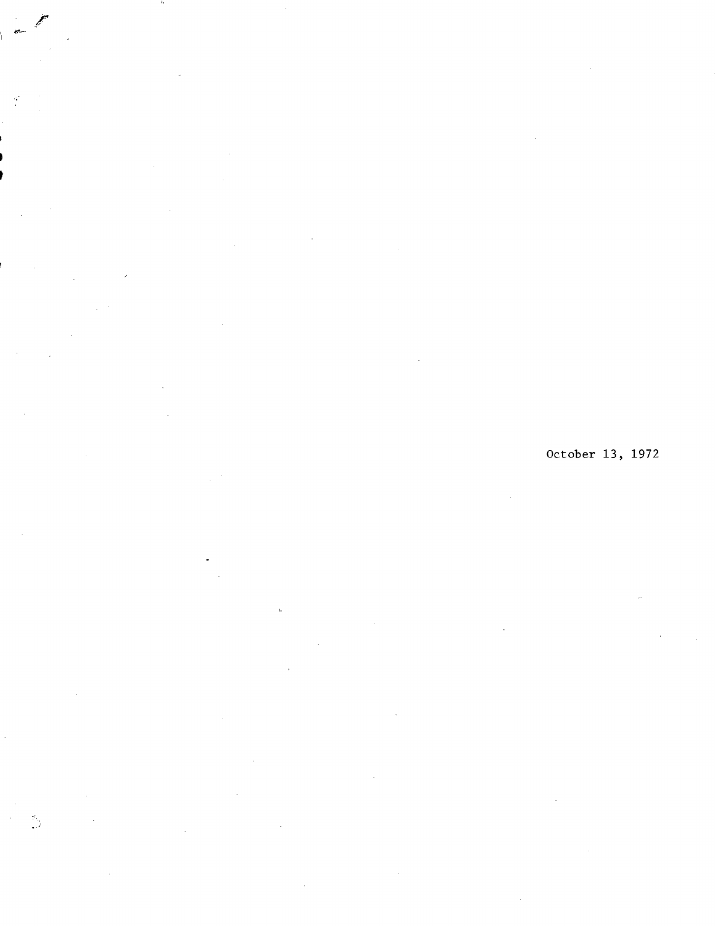t

 $\frac{1}{\sqrt{2}}$ 

Б.<br>П

# October 13, 1972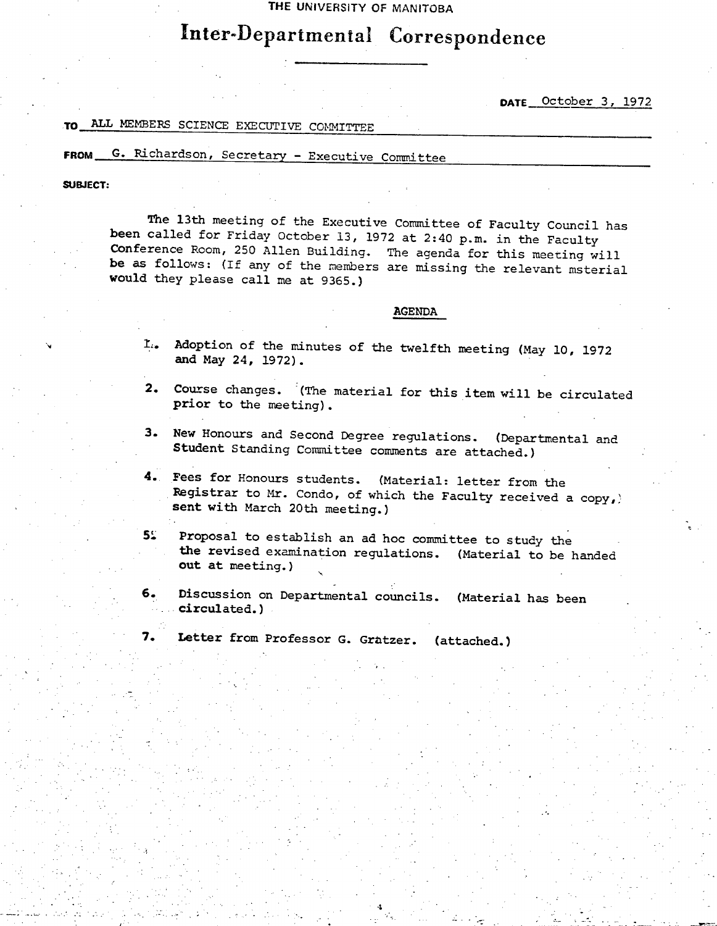**THE UNIVERSITY OF MANITOBA** 

# Inter-Departmental Correspondence

**DATE** \_October 3, 1972

.&\_

## TO ALL MEMBERS SCIENCE EXECUTIVE COMMITTEE

## **FROM G.** Richardson, Secretary - Executive Committee

**SUBJECT:** 

'S.,

The 13th meeting of the Executive Committee of Faculty Council has been called for Friday October 13, 1972 at 2:40 p.m. in the Faculty Conference Room, 250 Allen Building. The agenda for this meeting will be as follows: (If any of the members are missing the relevant msterial would they please call me at 9365.)

#### AGENDA

- L. Adoption of the minutes of the twelfth meeting (May 10, 1972 and May 24, 1972).
- Course changes. (The material for this item will be circulated prior to the meeting).
- New Honours and Second Degree regulations. (Departmental and Student Standing Committee comments are attached.)
- **4. Fees** for Honours students. (Material: letter from the Registrar to Mr. Condo, of which the Faculty received a copy, **sent** with March 20th meeting.)

5. Proposal to establish an ad hoc committee to study the the revised examination regulations. (Material to be handed Out at meeting.)

- 6. Discussion on Departmental councils. (Material has been circulated.)

7. Letter from Professor G. Gratzer. (attached.)

-. • Particular Constitution and the constitution of the constitution of the constitution of the constitution<br>And African School of the constitution of the constitution of the constitution of the constitution of the cons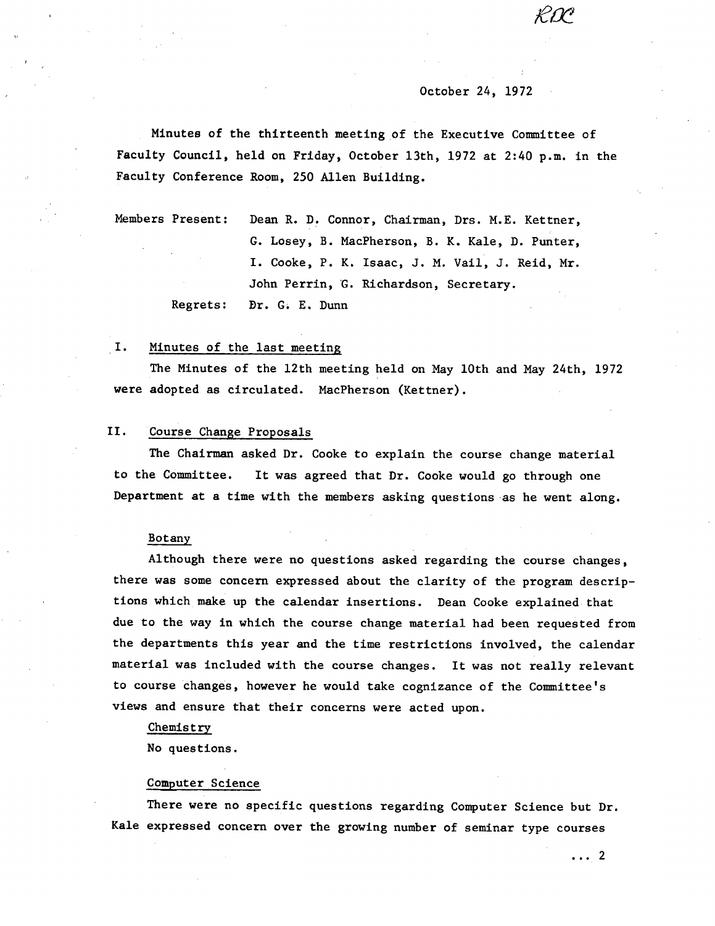#### October 24, 1972

Minutes of the thirteenth meeting of the Executive Committee of Faculty Council, held on Friday, October 13th, 1972 at 2:40 p.m. in the Faculty Conference Room, 250 Allen Building.

Members Present: Dean R. D. Connor, Chairman, Drs. H.E. Kettner, G. Losey, B. MacPherson, B. K. Kale, D. Punter, I. Cooke, P. K. Isaac, J. N. Vail, J. Reid, Mr. John Perrin, G. Richardson, Secretary. Regrets: Dr. G. E. Dunn

#### Ι. Minutes of the last meeting

The Minutes of the 12th meeting held on May 10th and May 24th, 1972 were adopted as circulated. MacPherson (Kettner).

#### II. Course Change Proposals

The Chairman asked Dr. Cooke to explain the course change material to the Committee. It was agreed that Dr. Cooke would go through one Department at a time with the members asking questions as he went along.

#### Botany

Although there were no questions asked regarding the course changes, there was some concern expressed about the clarity of the program descriptions which make up the calendar insertions. Dean Cooke explained that due to the way in which the course change material had been requested from the departments this year and the time restrictions involved, the calendar material was included with the course changes. It was not really relevant to course changes, however he would take cognizance of the Committee's views and ensure that their concerns were acted upon.

#### Chemistry

No questions.

#### Computer Science

There were no specific questions regarding Computer Science but Dr. Kale expressed concern over the growing number of seminar type courses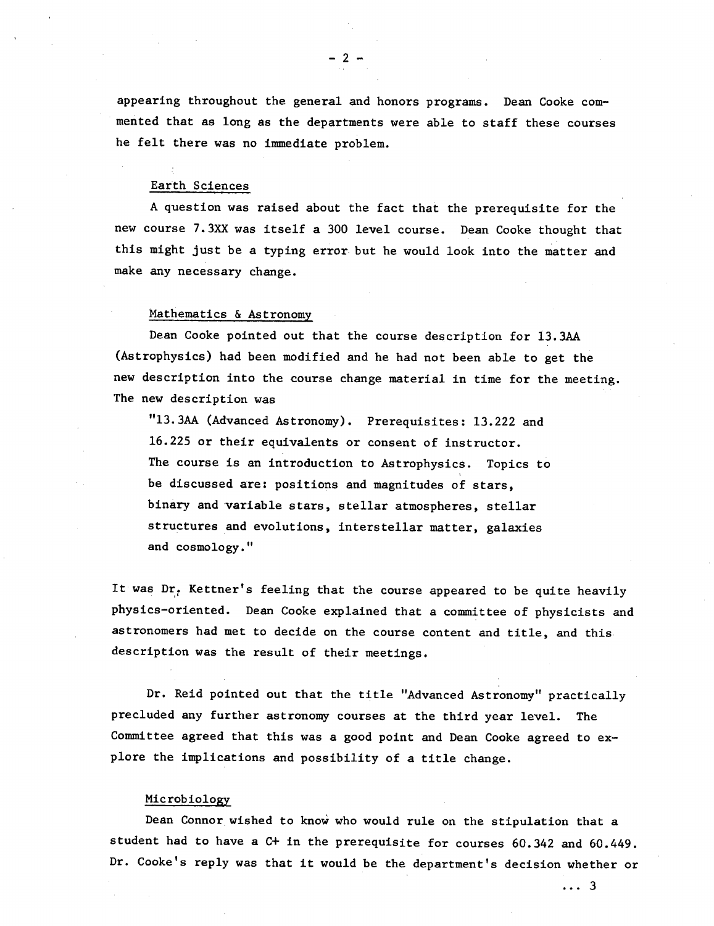appearing throughout the general and honors programs. Dean Cooke commented that as long as the departments were able to staff these courses he felt there was no immediate problem.

-2-

#### Earth Sciences

A question was raised about the fact that the prerequisite for the new course 7.3xx was itself a 300 level course. Dean Cooke thought that this might just be a typing error but he would look into the matter and make any necessary change.

#### Mathematics & Astronomy

Dean Cooke pointed out that the course description for 13.3AA (Astrophysics) had been modified and he had not been able to get the new description into the course change material in time for the meeting. The new description was

"13.3AA (Advanced Astronomy). Prerequisites: 13.222 and 16.225 or their equivalents or consent of instructor. The course is an introduction to Astrophysics. Topics to be discussed are: positions and magnitudes of stars, binary and variable stars, stellar atmospheres, stellar structures and evolutions, Interstellar matter, galaxies and cosmology."

It was Dr. Kettner's feeling that the course appeared to be quite heavily physics-oriented. Dean Cooke explained that a committee of physicists and astronomers had met to decide on the course content and title, and this description was the result of their meetings.

Dr. Reid pointed out that the title "Advanced Astronomy" practically precluded any further astronomy courses at the third year level. The Committee agreed that this was a good point and Dean Cooke agreed to explore the implications and possibility of a title change.

#### Mic rob iology

Dean Connor wished to know who would rule on the stipulation that a student had to have a C+ in the prerequisite for courses 60.342 and 60.449. Dr. Cooke's reply was that it would be the department's decision whether or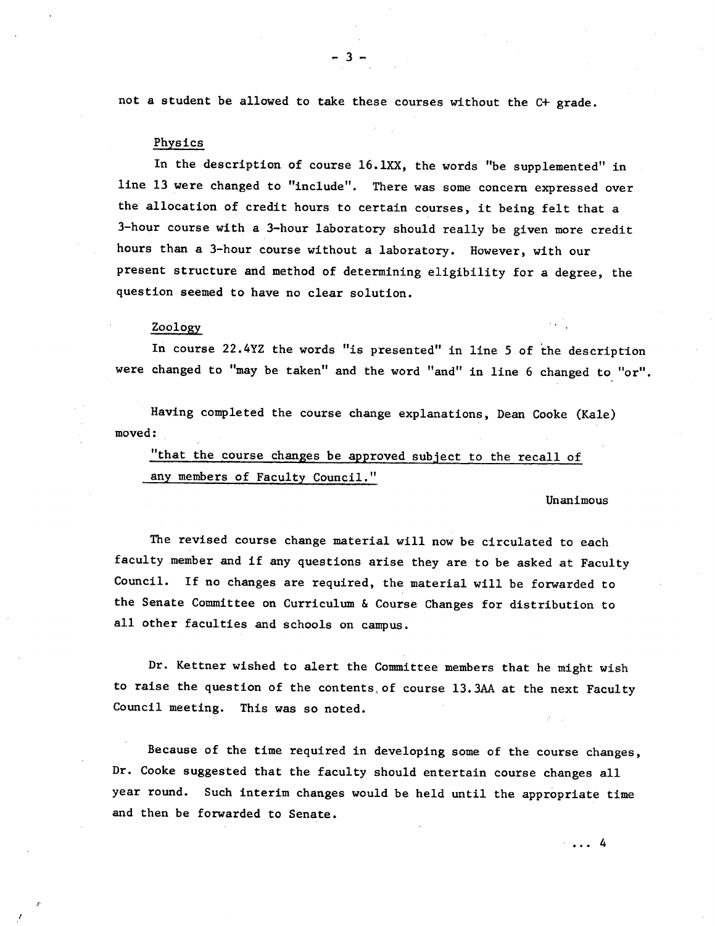not a student be allowed to take these courses without the C+ grade.

-3-.

#### Physics

In the description of course 16.1XX, the words "be supplemented" in line 13 were changed to "include". There was some concern expressed over the allocation of credit hours to certain courses, it being felt that a 3-hour course with a 3-hour laboratory should really be given more credit hours than a 3-hour course without a laboratory. However, with our present structure and method of determining eligibility for a degree, the question seemed to have no clear solution.

#### Zoology

In course 22.4YZ the words "is presented" in line 5 of the description were changed to "may be taken" and the word "and" in line 6 changed to "or".

Having completed the course change explanations, Dean Cooke (Kale) moved:

"that the course changes be approved subject to the recall of any members of Faculty Council."

#### Unanimous

The revised course change material will now be circulated to each faculty member and if any questions arise they are to be asked at Faculty Council. If no changes are required, the material will be forwarded to the Senate Committee on Curriculum & Course Changes for distribution to all other faculties and schools on campus.

Dr. Kettner wished to alert the Committee members that he might wish to raise the question of the contents of course 13.3AA at the next Faculty Council meeting. This was so noted.

Because of the time required in developing some of the course changes, Dr. Cooke suggested that the faculty should entertain course changes all year round. Such interim changes would be held until the appropriate time and then be forwarded to Senate.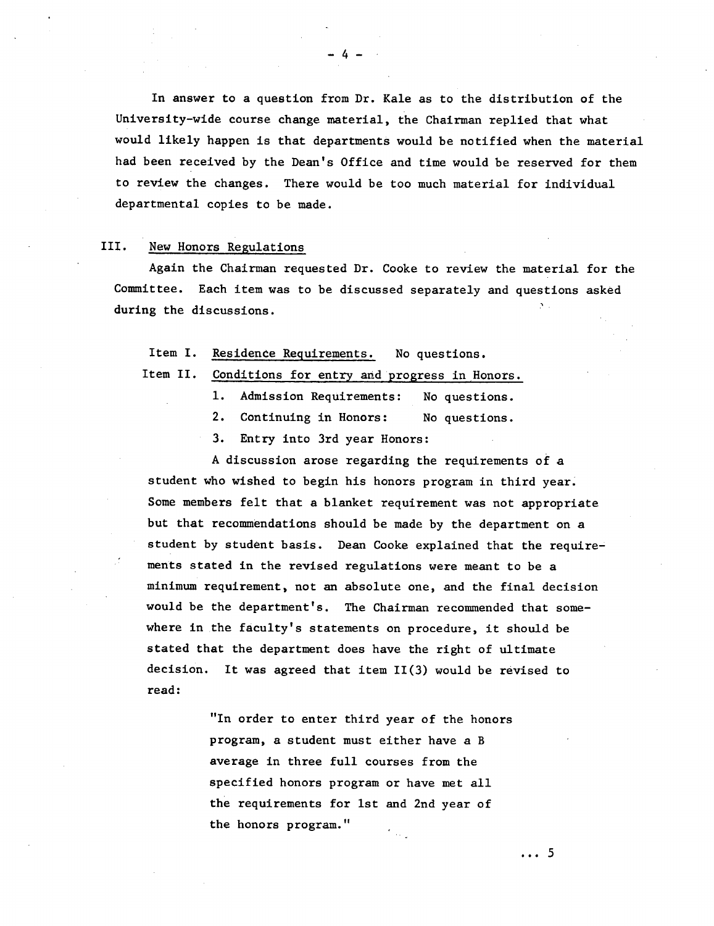In answer to a question from Dr. Kale as to the distribution of the University-wide course change material, the Chairman replied that what would likely happen is that departments would be notified when the material had been received by the Dean's Office and time would be reserved for them to review the changes. There would be too much material for individual departmental copies to be made.

## III. New Honors Regulations

Again the Chairman requested Dr. Cooke to review the material for the Committee. Each item was to be discussed separately and questions asked during the discussions.

### Item I. Residence Requirements. No questions.

Item II. Conditions for entry and progress in Honors.

- Admission Requirements: No questions.
- $2.$ Continuing in Honors: No questions.
- 3. Entry into 3rd year Honors:

A discussion arose regarding the requirements of a student who wished to begin his honors program in third year. Some members felt that a blanket requirement was not appropriate but that recommendations should be made by the department on a student by student basis. Dean Cooke explained that the requirements stated in the revised regulations were meant to be a minimum requirement, not an absolute one, and the final decision would be the department's. The Chairman recommended that somewhere in the faculty's statements on procedure, it should be stated that the department does have the right of ultimate decision. It was agreed that item 11(3) would be revised to read:

> "In order to enter third year of the honors program, a student must either have a B average in three full courses from the specified honors program or have met all the requirements for 1st and 2nd year of the honors program."

-4-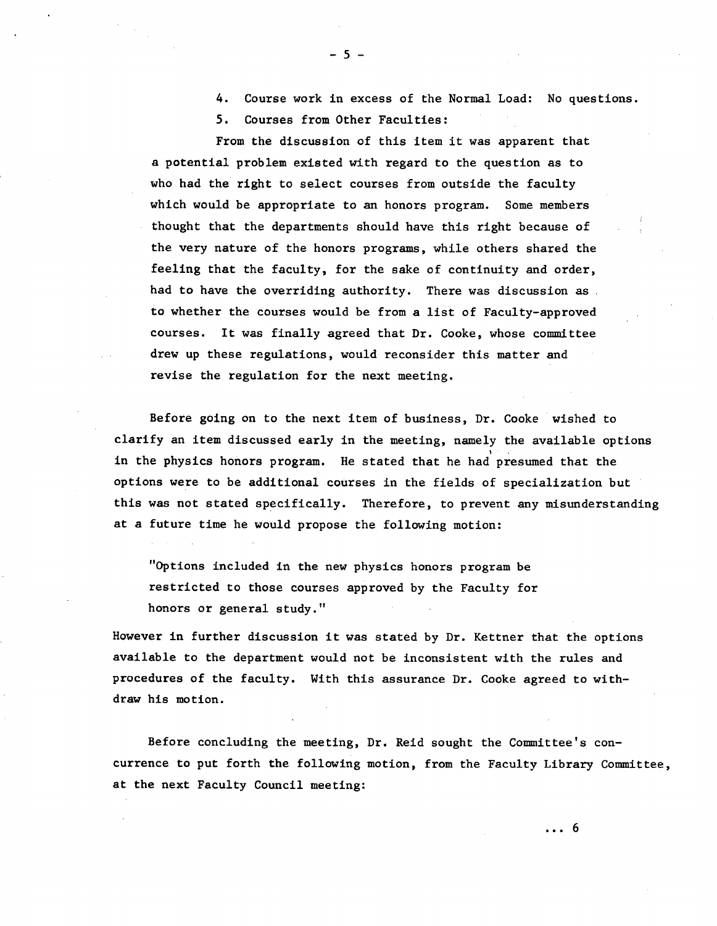Course work in excess of the Normal Load: No questions.

5. Courses from Other Faculties:

From the discussion of this item it was apparent that a potential problem existed with regard to the question as to who had the right to select courses from outside the faculty which would be appropriate to an honors program. Some members thought that the departments should have this right because of the very nature of the honors programs, while others shared the feeling that the faculty, for the sake of continuity and order, had to have the overriding authority. There was discussion as to whether the courses would be from a list of Faculty-approved courses. It was finally agreed that Dr. Cooke, whose committee drew up these regulations, would reconsider this matter and revise the regulation for the next meeting.

Before going on to the next item of business, Dr. Cooke wished to clarify an item discussed early in the meeting, namely the available options in the physics honors program. He stated that he had presumed that the options were to be additional courses in the fields of specialization but this was not stated specifically. Therefore, to prevent any misunderstanding at a future time he would propose the following motion:

"Options included in the new physics honors program be restricted to those courses approved by the Faculty for honors or general study."

However in further discussion it was stated by Dr. Kettner that the options available to the department would not be inconsistent with the rules and procedures of the faculty. With this assurance Dr. Cooke agreed to withdraw his motion.

Before concluding the meeting, Dr. Reid sought the Committee's concurrence to put forth the following motion, from the Faculty Library Committee, at the next Faculty Council meeting: